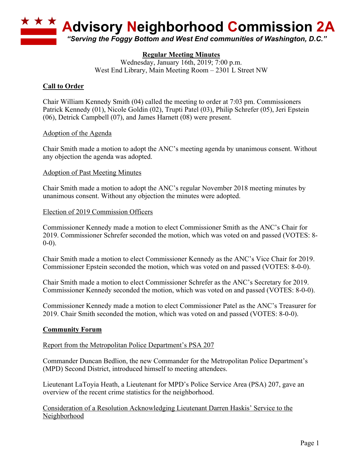

# **Regular Meeting Minutes**

Wednesday, January 16th, 2019; 7:00 p.m. West End Library, Main Meeting Room – 2301 L Street NW

# **Call to Order**

Chair William Kennedy Smith (04) called the meeting to order at 7:03 pm. Commissioners Patrick Kennedy (01), Nicole Goldin (02), Trupti Patel (03), Philip Schrefer (05), Jeri Epstein (06), Detrick Campbell (07), and James Harnett (08) were present.

## Adoption of the Agenda

Chair Smith made a motion to adopt the ANC's meeting agenda by unanimous consent. Without any objection the agenda was adopted.

### Adoption of Past Meeting Minutes

Chair Smith made a motion to adopt the ANC's regular November 2018 meeting minutes by unanimous consent. Without any objection the minutes were adopted.

### Election of 2019 Commission Officers

Commissioner Kennedy made a motion to elect Commissioner Smith as the ANC's Chair for 2019. Commissioner Schrefer seconded the motion, which was voted on and passed (VOTES: 8- 0-0).

Chair Smith made a motion to elect Commissioner Kennedy as the ANC's Vice Chair for 2019. Commissioner Epstein seconded the motion, which was voted on and passed (VOTES: 8-0-0).

Chair Smith made a motion to elect Commissioner Schrefer as the ANC's Secretary for 2019. Commissioner Kennedy seconded the motion, which was voted on and passed (VOTES: 8-0-0).

Commissioner Kennedy made a motion to elect Commissioner Patel as the ANC's Treasurer for 2019. Chair Smith seconded the motion, which was voted on and passed (VOTES: 8-0-0).

## **Community Forum**

## Report from the Metropolitan Police Department's PSA 207

Commander Duncan Bedlion, the new Commander for the Metropolitan Police Department's (MPD) Second District, introduced himself to meeting attendees.

Lieutenant LaToyia Heath, a Lieutenant for MPD's Police Service Area (PSA) 207, gave an overview of the recent crime statistics for the neighborhood.

Consideration of a Resolution Acknowledging Lieutenant Darren Haskis' Service to the Neighborhood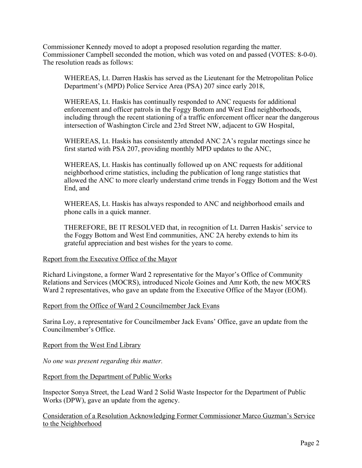Commissioner Kennedy moved to adopt a proposed resolution regarding the matter. Commissioner Campbell seconded the motion, which was voted on and passed (VOTES: 8-0-0). The resolution reads as follows:

WHEREAS, Lt. Darren Haskis has served as the Lieutenant for the Metropolitan Police Department's (MPD) Police Service Area (PSA) 207 since early 2018,

WHEREAS, Lt. Haskis has continually responded to ANC requests for additional enforcement and officer patrols in the Foggy Bottom and West End neighborhoods, including through the recent stationing of a traffic enforcement officer near the dangerous intersection of Washington Circle and 23rd Street NW, adjacent to GW Hospital,

WHEREAS, Lt. Haskis has consistently attended ANC 2A's regular meetings since he first started with PSA 207, providing monthly MPD updates to the ANC,

WHEREAS, Lt. Haskis has continually followed up on ANC requests for additional neighborhood crime statistics, including the publication of long range statistics that allowed the ANC to more clearly understand crime trends in Foggy Bottom and the West End, and

WHEREAS, Lt. Haskis has always responded to ANC and neighborhood emails and phone calls in a quick manner.

THEREFORE, BE IT RESOLVED that, in recognition of Lt. Darren Haskis' service to the Foggy Bottom and West End communities, ANC 2A hereby extends to him its grateful appreciation and best wishes for the years to come.

#### Report from the Executive Office of the Mayor

Richard Livingstone, a former Ward 2 representative for the Mayor's Office of Community Relations and Services (MOCRS), introduced Nicole Goines and Amr Kotb, the new MOCRS Ward 2 representatives, who gave an update from the Executive Office of the Mayor (EOM).

#### Report from the Office of Ward 2 Councilmember Jack Evans

Sarina Loy, a representative for Councilmember Jack Evans' Office, gave an update from the Councilmember's Office.

Report from the West End Library

*No one was present regarding this matter.*

#### Report from the Department of Public Works

Inspector Sonya Street, the Lead Ward 2 Solid Waste Inspector for the Department of Public Works (DPW), gave an update from the agency.

Consideration of a Resolution Acknowledging Former Commissioner Marco Guzman's Service to the Neighborhood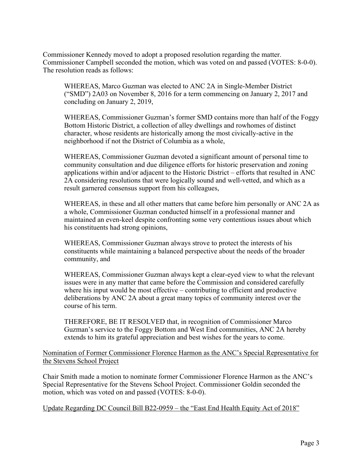Commissioner Kennedy moved to adopt a proposed resolution regarding the matter. Commissioner Campbell seconded the motion, which was voted on and passed (VOTES: 8-0-0). The resolution reads as follows:

WHEREAS, Marco Guzman was elected to ANC 2A in Single-Member District ("SMD") 2A03 on November 8, 2016 for a term commencing on January 2, 2017 and concluding on January 2, 2019,

WHEREAS, Commissioner Guzman's former SMD contains more than half of the Foggy Bottom Historic District, a collection of alley dwellings and rowhomes of distinct character, whose residents are historically among the most civically-active in the neighborhood if not the District of Columbia as a whole,

WHEREAS, Commissioner Guzman devoted a significant amount of personal time to community consultation and due diligence efforts for historic preservation and zoning applications within and/or adjacent to the Historic District – efforts that resulted in ANC 2A considering resolutions that were logically sound and well-vetted, and which as a result garnered consensus support from his colleagues,

WHEREAS, in these and all other matters that came before him personally or ANC 2A as a whole, Commissioner Guzman conducted himself in a professional manner and maintained an even-keel despite confronting some very contentious issues about which his constituents had strong opinions,

WHEREAS, Commissioner Guzman always strove to protect the interests of his constituents while maintaining a balanced perspective about the needs of the broader community, and

WHEREAS, Commissioner Guzman always kept a clear-eyed view to what the relevant issues were in any matter that came before the Commission and considered carefully where his input would be most effective – contributing to efficient and productive deliberations by ANC 2A about a great many topics of community interest over the course of his term.

THEREFORE, BE IT RESOLVED that, in recognition of Commissioner Marco Guzman's service to the Foggy Bottom and West End communities, ANC 2A hereby extends to him its grateful appreciation and best wishes for the years to come.

Nomination of Former Commissioner Florence Harmon as the ANC's Special Representative for the Stevens School Project

Chair Smith made a motion to nominate former Commissioner Florence Harmon as the ANC's Special Representative for the Stevens School Project. Commissioner Goldin seconded the motion, which was voted on and passed (VOTES: 8-0-0).

Update Regarding DC Council Bill B22-0959 – the "East End Health Equity Act of 2018"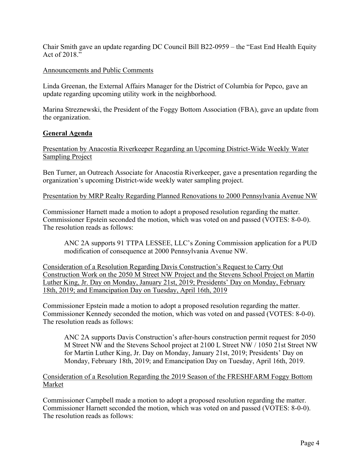Chair Smith gave an update regarding DC Council Bill B22-0959 – the "East End Health Equity Act of 2018."

## Announcements and Public Comments

Linda Greenan, the External Affairs Manager for the District of Columbia for Pepco, gave an update regarding upcoming utility work in the neighborhood.

Marina Streznewski, the President of the Foggy Bottom Association (FBA), gave an update from the organization.

# **General Agenda**

Presentation by Anacostia Riverkeeper Regarding an Upcoming District-Wide Weekly Water Sampling Project

Ben Turner, an Outreach Associate for Anacostia Riverkeeper, gave a presentation regarding the organization's upcoming District-wide weekly water sampling project.

### Presentation by MRP Realty Regarding Planned Renovations to 2000 Pennsylvania Avenue NW

Commissioner Harnett made a motion to adopt a proposed resolution regarding the matter. Commissioner Epstein seconded the motion, which was voted on and passed (VOTES: 8-0-0). The resolution reads as follows:

ANC 2A supports 91 TTPA LESSEE, LLC's Zoning Commission application for a PUD modification of consequence at 2000 Pennsylvania Avenue NW.

Consideration of a Resolution Regarding Davis Construction's Request to Carry Out Construction Work on the 2050 M Street NW Project and the Stevens School Project on Martin Luther King, Jr. Day on Monday, January 21st, 2019; Presidents' Day on Monday, February 18th, 2019; and Emancipation Day on Tuesday, April 16th, 2019

Commissioner Epstein made a motion to adopt a proposed resolution regarding the matter. Commissioner Kennedy seconded the motion, which was voted on and passed (VOTES: 8-0-0). The resolution reads as follows:

ANC 2A supports Davis Construction's after-hours construction permit request for 2050 M Street NW and the Stevens School project at 2100 L Street NW / 1050 21st Street NW for Martin Luther King, Jr. Day on Monday, January 21st, 2019; Presidents' Day on Monday, February 18th, 2019; and Emancipation Day on Tuesday, April 16th, 2019.

## Consideration of a Resolution Regarding the 2019 Season of the FRESHFARM Foggy Bottom Market

Commissioner Campbell made a motion to adopt a proposed resolution regarding the matter. Commissioner Harnett seconded the motion, which was voted on and passed (VOTES: 8-0-0). The resolution reads as follows: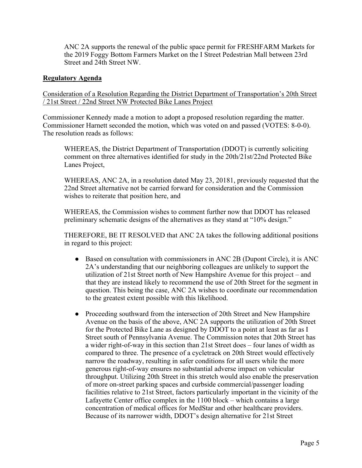ANC 2A supports the renewal of the public space permit for FRESHFARM Markets for the 2019 Foggy Bottom Farmers Market on the I Street Pedestrian Mall between 23rd Street and 24th Street NW.

## **Regulatory Agenda**

Consideration of a Resolution Regarding the District Department of Transportation's 20th Street / 21st Street / 22nd Street NW Protected Bike Lanes Project

Commissioner Kennedy made a motion to adopt a proposed resolution regarding the matter. Commissioner Harnett seconded the motion, which was voted on and passed (VOTES: 8-0-0). The resolution reads as follows:

WHEREAS, the District Department of Transportation (DDOT) is currently soliciting comment on three alternatives identified for study in the 20th/21st/22nd Protected Bike Lanes Project,

WHEREAS, ANC 2A, in a resolution dated May 23, 20181, previously requested that the 22nd Street alternative not be carried forward for consideration and the Commission wishes to reiterate that position here, and

WHEREAS, the Commission wishes to comment further now that DDOT has released preliminary schematic designs of the alternatives as they stand at "10% design."

THEREFORE, BE IT RESOLVED that ANC 2A takes the following additional positions in regard to this project:

- Based on consultation with commissioners in ANC 2B (Dupont Circle), it is ANC 2A's understanding that our neighboring colleagues are unlikely to support the utilization of 21st Street north of New Hampshire Avenue for this project – and that they are instead likely to recommend the use of 20th Street for the segment in question. This being the case, ANC 2A wishes to coordinate our recommendation to the greatest extent possible with this likelihood.
- Proceeding southward from the intersection of 20th Street and New Hampshire Avenue on the basis of the above, ANC 2A supports the utilization of 20th Street for the Protected Bike Lane as designed by DDOT to a point at least as far as I Street south of Pennsylvania Avenue. The Commission notes that 20th Street has a wider right-of-way in this section than 21st Street does – four lanes of width as compared to three. The presence of a cycletrack on 20th Street would effectively narrow the roadway, resulting in safer conditions for all users while the more generous right-of-way ensures no substantial adverse impact on vehicular throughput. Utilizing 20th Street in this stretch would also enable the preservation of more on-street parking spaces and curbside commercial/passenger loading facilities relative to 21st Street, factors particularly important in the vicinity of the Lafayette Center office complex in the 1100 block – which contains a large concentration of medical offices for MedStar and other healthcare providers. Because of its narrower width, DDOT's design alternative for 21st Street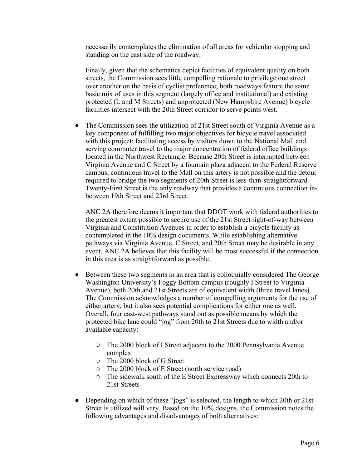necessarily contemplates the elimination of all areas for vehicular stopping and standing on the east side of the roadway.

Finally, given that the schematics depict facilities of equivalent quality on both streets, the Commission sees little compelling rationale to privilege one street over another on the basis of cyclist preference; both roadways feature the same basic mix of uses in this segment (largely office and institutional) and existing protected (L and M Streets) and unprotected (New Hampshire Avenue) bicycle facilities intersect with the 20th Street corridor to serve points west.

• The Commission sees the utilization of 21st Street south of Virginia Avenue as a key component of fulfilling two major objectives for bicycle travel associated with this project: facilitating access by visitors down to the National Mall and serving commuter travel to the major concentration of federal office buildings located in the Northwest Rectangle. Because 20th Street is interrupted between Virginia Avenue and C Street by a fountain plaza adjacent to the Federal Reserve campus, continuous travel to the Mall on this artery is not possible and the detour required to bridge the two segments of 20th Street is less-than-straightforward. Twenty-First Street is the only roadway that provides a continuous connection inbetween 19th Street and 23rd Street.

ANC 2A therefore deems it important that DDOT work with federal authorities to the greatest extent possible to secure use of the 21st Street right-of-way between Virginia and Constitution Avenues in order to establish a bicycle facility as contemplated in the 10% design documents. While establishing alternative pathways via Virginia Avenue, C Street, and 20th Street may be desirable in any event, ANC 2A believes that this facility will be most successful if the connection in this area is as straightforward as possible.

- Between these two segments in an area that is colloquially considered The George Washington University's Foggy Bottom campus (roughly I Street to Virginia Avenue), both 20th and 21st Streets are of equivalent width (three travel lanes). The Commission acknowledges a number of compelling arguments for the use of either artery, but it also sees potential complications for either one as well. Overall, four east-west pathways stand out as possible means by which the protected bike lane could "jog" from 20th to 21st Streets due to width and/or available capacity:
	- The 2000 block of I Street adjacent to the 2000 Pennsylvania Avenue complex
	- The 2000 block of G Street
	- The 2000 block of E Street (north service road)
	- The sidewalk south of the E Street Expressway which connects 20th to 21st Streets
- Depending on which of these "jogs" is selected, the length to which 20th or 21st Street is utilized will vary. Based on the 10% designs, the Commission notes the following advantages and disadvantages of both alternatives: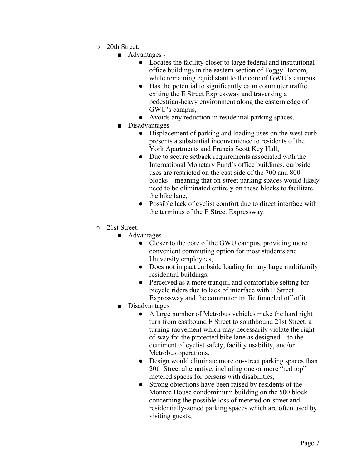- 20th Street:
	- Advantages -
		- Locates the facility closer to large federal and institutional office buildings in the eastern section of Foggy Bottom, while remaining equidistant to the core of GWU's campus,
		- Has the potential to significantly calm commuter traffic exiting the E Street Expressway and traversing a pedestrian-heavy environment along the eastern edge of GWU's campus,
		- Avoids any reduction in residential parking spaces.
	- Disadvantages -
		- Displacement of parking and loading uses on the west curb presents a substantial inconvenience to residents of the York Apartments and Francis Scott Key Hall,
		- Due to secure setback requirements associated with the International Monetary Fund's office buildings, curbside uses are restricted on the east side of the 700 and 800 blocks – meaning that on-street parking spaces would likely need to be eliminated entirely on these blocks to facilitate the bike lane,
		- Possible lack of cyclist comfort due to direct interface with the terminus of the E Street Expressway.
- 21st Street:
	- $\blacksquare$  Advantages
		- Closer to the core of the GWU campus, providing more convenient commuting option for most students and University employees,
		- Does not impact curbside loading for any large multifamily residential buildings,
		- Perceived as a more tranquil and comfortable setting for bicycle riders due to lack of interface with E Street Expressway and the commuter traffic funneled off of it.
	- Disadvantages
		- A large number of Metrobus vehicles make the hard right turn from eastbound F Street to southbound 21st Street, a turning movement which may necessarily violate the rightof-way for the protected bike lane as designed – to the detriment of cyclist safety, facility usability, and/or Metrobus operations,
		- Design would eliminate more on-street parking spaces than 20th Street alternative, including one or more "red top" metered spaces for persons with disabilities,
		- Strong objections have been raised by residents of the Monroe House condominium building on the 500 block concerning the possible loss of metered on-street and residentially-zoned parking spaces which are often used by visiting guests,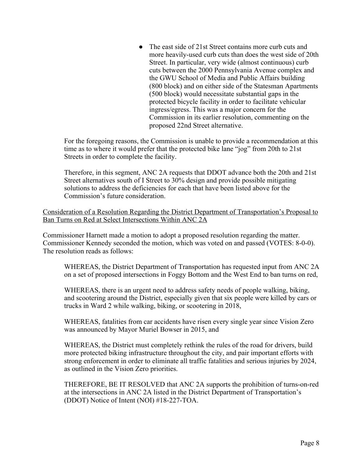• The east side of 21st Street contains more curb cuts and more heavily-used curb cuts than does the west side of 20th Street. In particular, very wide (almost continuous) curb cuts between the 2000 Pennsylvania Avenue complex and the GWU School of Media and Public Affairs building (800 block) and on either side of the Statesman Apartments (500 block) would necessitate substantial gaps in the protected bicycle facility in order to facilitate vehicular ingress/egress. This was a major concern for the Commission in its earlier resolution, commenting on the proposed 22nd Street alternative.

For the foregoing reasons, the Commission is unable to provide a recommendation at this time as to where it would prefer that the protected bike lane "jog" from 20th to 21st Streets in order to complete the facility.

Therefore, in this segment, ANC 2A requests that DDOT advance both the 20th and 21st Street alternatives south of I Street to 30% design and provide possible mitigating solutions to address the deficiencies for each that have been listed above for the Commission's future consideration.

Consideration of a Resolution Regarding the District Department of Transportation's Proposal to Ban Turns on Red at Select Intersections Within ANC 2A

Commissioner Harnett made a motion to adopt a proposed resolution regarding the matter. Commissioner Kennedy seconded the motion, which was voted on and passed (VOTES: 8-0-0). The resolution reads as follows:

WHEREAS, the District Department of Transportation has requested input from ANC 2A on a set of proposed intersections in Foggy Bottom and the West End to ban turns on red,

WHEREAS, there is an urgent need to address safety needs of people walking, biking, and scootering around the District, especially given that six people were killed by cars or trucks in Ward 2 while walking, biking, or scootering in 2018,

WHEREAS, fatalities from car accidents have risen every single year since Vision Zero was announced by Mayor Muriel Bowser in 2015, and

WHEREAS, the District must completely rethink the rules of the road for drivers, build more protected biking infrastructure throughout the city, and pair important efforts with strong enforcement in order to eliminate all traffic fatalities and serious injuries by 2024, as outlined in the Vision Zero priorities.

THEREFORE, BE IT RESOLVED that ANC 2A supports the prohibition of turns-on-red at the intersections in ANC 2A listed in the District Department of Transportation's (DDOT) Notice of Intent (NOI) #18-227-TOA.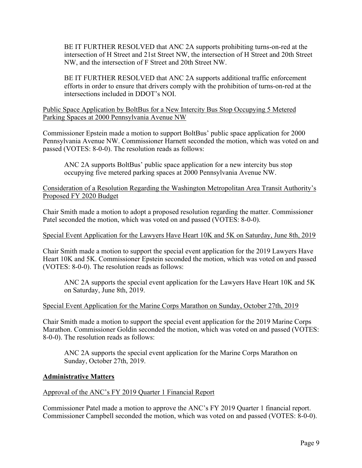BE IT FURTHER RESOLVED that ANC 2A supports prohibiting turns-on-red at the intersection of H Street and 21st Street NW, the intersection of H Street and 20th Street NW, and the intersection of F Street and 20th Street NW.

BE IT FURTHER RESOLVED that ANC 2A supports additional traffic enforcement efforts in order to ensure that drivers comply with the prohibition of turns-on-red at the intersections included in DDOT's NOI.

Public Space Application by BoltBus for a New Intercity Bus Stop Occupying 5 Metered Parking Spaces at 2000 Pennsylvania Avenue NW

Commissioner Epstein made a motion to support BoltBus' public space application for 2000 Pennsylvania Avenue NW. Commissioner Harnett seconded the motion, which was voted on and passed (VOTES: 8-0-0). The resolution reads as follows:

ANC 2A supports BoltBus' public space application for a new intercity bus stop occupying five metered parking spaces at 2000 Pennsylvania Avenue NW.

Consideration of a Resolution Regarding the Washington Metropolitan Area Transit Authority's Proposed FY 2020 Budget

Chair Smith made a motion to adopt a proposed resolution regarding the matter. Commissioner Patel seconded the motion, which was voted on and passed (VOTES: 8-0-0).

## Special Event Application for the Lawyers Have Heart 10K and 5K on Saturday, June 8th, 2019

Chair Smith made a motion to support the special event application for the 2019 Lawyers Have Heart 10K and 5K. Commissioner Epstein seconded the motion, which was voted on and passed (VOTES: 8-0-0). The resolution reads as follows:

ANC 2A supports the special event application for the Lawyers Have Heart 10K and 5K on Saturday, June 8th, 2019.

## Special Event Application for the Marine Corps Marathon on Sunday, October 27th, 2019

Chair Smith made a motion to support the special event application for the 2019 Marine Corps Marathon. Commissioner Goldin seconded the motion, which was voted on and passed (VOTES: 8-0-0). The resolution reads as follows:

ANC 2A supports the special event application for the Marine Corps Marathon on Sunday, October 27th, 2019.

## **Administrative Matters**

## Approval of the ANC's FY 2019 Quarter 1 Financial Report

Commissioner Patel made a motion to approve the ANC's FY 2019 Quarter 1 financial report. Commissioner Campbell seconded the motion, which was voted on and passed (VOTES: 8-0-0).